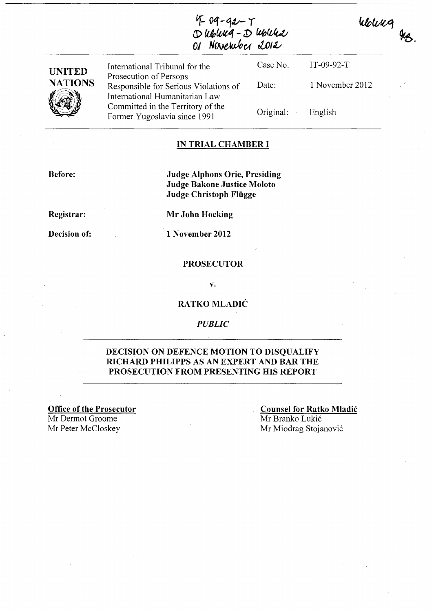| $4 - 09 - 92 - 7$ |                   |  |  |  |
|-------------------|-------------------|--|--|--|
|                   | Dubley - D Wolles |  |  |  |
|                   | Of November 2012  |  |  |  |

| <b>UNITED</b>                 | International Tribunal for the                                                                    | Case No.  | $IT-09-92-T$    |
|-------------------------------|---------------------------------------------------------------------------------------------------|-----------|-----------------|
| <b>NATIONS</b><br><b>Y</b> Ex | Prosecution of Persons<br>Responsible for Serious Violations of<br>International Humanitarian Law | Date:     | 1 November 2012 |
|                               | Committed in the Territory of the<br>Former Yugoslavia since 1991                                 | Original: | English         |

#### **IN TRIAL CHAMBER I**

**Before:** 

**Judge Alphons Orie, Presiding Judge Bakone Justice Moloto Judge Christoph Fliigge** 

**Registrar:** 

**Decision of:** 

**Mr John Hocking 1 November 2012** 

### **PROSECUTOR**

v.

### **RATKO MLADIC**

#### *PUBLIC*

### **DECISION ON DEFENCE MOTION TO DISQUALIFY RICHARD PHILIPPS AS AN EXPERT AND BAR THE PROSECUTION FROM PRESENTING HIS REPORT**

**Office of the Prosecutor**  Mr Dermot Groome<br>Mr Peter McCloskey

**Counsel for Ratko Mladic**  Mr Branko Lukic Mr Miodrag Stojanović

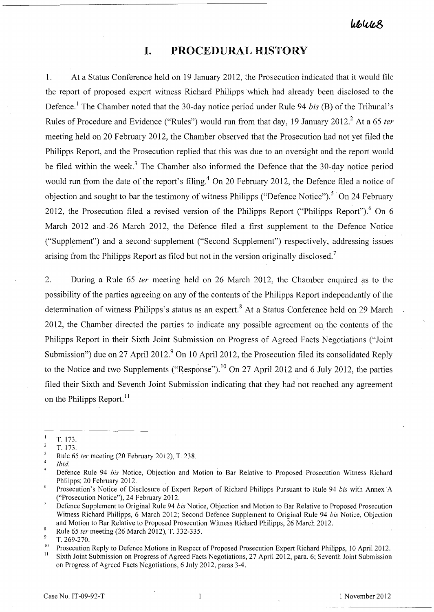# **I. PROCEDURAL HISTORY**

1. At a Status Conference held on 19 January 2012, the Prosecution indicated that it would file the report of proposed expert witness Richard Philipps which had already been disclosed to the Defence. 1 The Chamber noted that the 30-day notice period under Rule 94 *bis* (B) of the Tribunal's Rules of Procedure and Evidence ("Rules") would run from that day, 19 January 2012.<sup>2</sup> At a 65 ter meeting held on 20 February 2012, the Chamber observed that the Prosecution had not yet filed the Philipps Report, and the Prosecution replied that this was due to an oversight and the report would be filed within the week. $3$  The Chamber also informed the Defence that the 30-day notice period would run from the date of the report's filing.<sup>4</sup> On 20 February 2012, the Defence filed a notice of objection and sought to bar the testimony of witness Philipps ("Defence Notice").<sup>5</sup> On 24 February 2012, the Prosecution filed a revised version of the Philipps Report ("Philipps Report").<sup>6</sup> On 6 March 2012 and 26 March 2012, the Defence filed a first supplement to the Defence Notice ("Supplement") and a second supplement ("Second Supplement") respectively, addressing issues arising from the Philipps Report as filed but not in the version originally disclosed.<sup>7</sup>

2. During a Rule 65 *ter* meeting held on 26 March 2012, the Chamber enquired as to the possibility of the parties agreeing on any of the contents of the Philipps Report independently of the determination of witness Philipps's status as an expert.<sup>8</sup> At a Status Conference held on 29 March 2012, the Chamber directed the parties to indicate any possible agreement on, the contents of the Philipps Report in their Sixth Joint Submission on Progress of Agreed Facts Negotiations ("Joint Submission") due on 27 April 2012.<sup>9</sup> On 10 April 2012, the Prosecution filed its consolidated Reply to the Notice and two Supplements ("Response").<sup>10</sup> On 27 April 2012 and 6 July 2012, the parties filed their Sixth and Seventh Joint Submission indicating that they had not reached any agreement on the Philipps Report.<sup>11</sup>

<sup>10</sup> Prosecution Reply to Defence Motions in Respect of Proposed Prosecution Expert Richard Philipps, 10 April 2012.

<sup>11</sup>Sixth Joint Submission on Progress of Agreed Facts Negotiations, 27 April 2012, para. 6; Seventh Joint Submission on Progress of Agreed Facts Negotiations, 6 July 2012, paras 3-4.

 $\overline{1}$ T.173.

<sup>2</sup>  T. 173.

 $\mathcal{I}$ Rule 65 fer meeting (20 February 2012), T. 238.

 $\overline{4}$ *Ibid.* 

<sup>5</sup> Defence Rule 94 *bis* Notice, Objection and Motion to Bar Relative to Proposed Prosecution Witness Richard Philipps; 20 February 2012.

 $\ddot{6}$ Prosecution's Notice of Disclosure of Expert Report of Richard Philipps Pursuant to Rule 94 *bis* with Annex 'A ("Prosecution Notice"), 24 February 2012.

 $\overline{7}$ Defence Supplement to Original Rule 94 *bis* Notice, Objection and Motion to Bar Relative to Proposed Prosecution Witness Richard Philipps, 6 March 2012; Second Defence Supplement to Original Rule 94 *bis* Notice, Objection and Motion to Bar Relative to Proposed Prosecution Witness Richard Philipps, 26 March 2012.

 $\bf 8$ Rule 65 fer meeting (26 March 2012), T. 332-335.

<sup>9</sup>  T.269-270.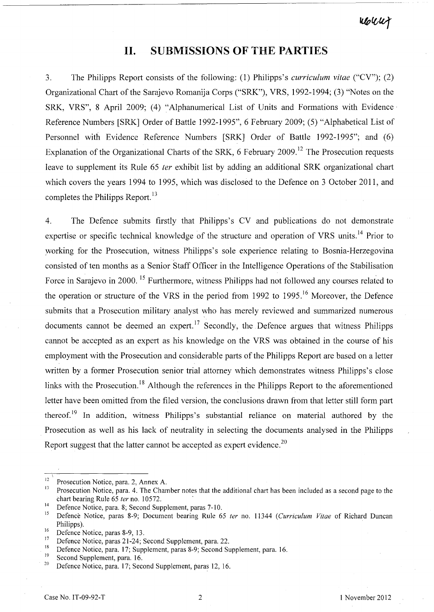monny

## **11. SUBMISSIONS OF THE PARTIES**

3. The Philipps Report consists of the following: (1) Philipps's *curriculum vitae* ("CV"); (2) Organizational Chart of the Sarajevo Romanija Corps ("SRK"), VRS, 1992-1994; (3) "Notes on the SRK, VRS", 8 April 2009; (4) "Alphanumerical List of Units and Formations with Evidence· Reference Numbers [SRK] Order of Battle 1992-1995", 6 February 2009; (5) "Alphabetical List of Personnel with Evidence Reference Numbers [SRK] Order of Battle 1992-1995"; and (6) Explanation of the Organizational Charts of the SRK, 6 February 2009.<sup>12</sup> The Prosecution requests leave to supplement its Rule 65 *fer* exhibit list by adding an additional SRK organizational chart which covers the years 1994 to 1995, which was disclosed to the Defence on 3 October 2011, and completes the Philipps Report.<sup>13</sup>

4. The Defence submits firstly that Philipps's CV and publications do not demonstrate expertise or specific technical knowledge of the structure and operation of VRS units.<sup>14</sup> Prior to working for the Prosecution, witness Philipps's sole experience relating to Bosnia-Herzegovina consisted of ten months as a Senior Staff Officer in the Intelligence Operations of the Stabilisation Force in Sarajevo in 2000. <sup>15</sup> Furthermore, witness Philipps had not followed any courses related to the operation or structure of the VRS in the period from 1992 to 1995.<sup>16</sup> Moreover, the Defence submits that a Prosecution military analyst who has merely reviewed and summarized numerous documents cannot be deemed an expert.<sup>17</sup> Secondly, the Defence argues that witness Philipps cannot be accepted as an expert as his knowledge on the VRS was obtained in the course of his employment with the Prosecution and considerable parts of the Philipps Report are based on a letter written by a former Prosecution senior trial attorney which demonstrates witness Philipps's close links with the Prosecution.<sup>18</sup> Although the references in the Philipps Report to the aforementioned letter have been omitted from the filed version, the conclusions drawn from that letter still form part thereof.19 In addition, witness Phi1ipps's substantial reliance on material authored by the Prosecution as well as his lack of neutrality in selecting the documents analysed in the Philipps Report suggest that the latter cannot be accepted as expert evidence.<sup>20</sup>

<sup>&</sup>lt;sup>12</sup> Prosecution Notice, para. 2, Annex A.

Prosecution Notice, para. 4. The Chamber notes that the additional chart has been included as a second page to the chart bearing Rule 65 *ter* no. 10572. .

<sup>&</sup>lt;sup>14</sup> Defence Notice, para. 8; Second Supplement, paras 7-10.<br><sup>15</sup> Defense Notice, paras 8, 0. Degument begring Bule 6

<sup>15</sup>Defence Notice, paras 8-9; Document bearing Rule 65 *ter* no. 11344 *(Curriculum Vitae* of Richard Duncan Philipps).

 $16\quad$  Defence Notice, paras 8-9, 13.

<sup>&</sup>lt;sup>17</sup> Defence Notice, paras 21-24; Second Supplement, para. 22.

<sup>&</sup>lt;sup>18</sup> Defence Notice, para. 17; Supplement, paras 8-9; Second Supplement, para. 16.

<sup>&</sup>lt;sup>19</sup> Second Supplement, para. 16.<br><sup>20</sup> Defence Notice, para. 17: Seco

Defence Notice, para. 17; Second Supplement, paras 12, 16.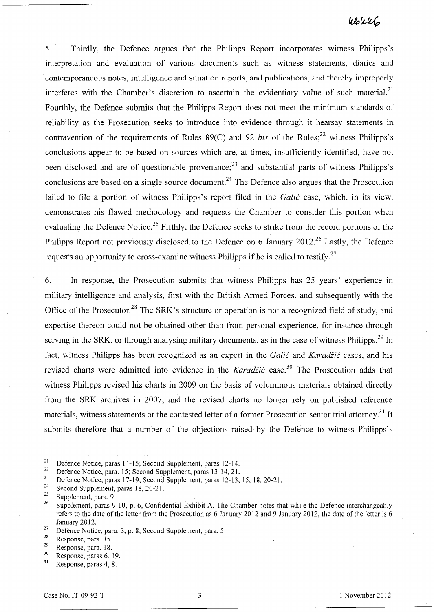# Wolch

5. Thirdly, the Defence argues that the Philipps Report incorporates witness Philipps's interpretation and evaluation of various documents such as witness statements, diaries and contemporaneous notes, intelligence and situation reports, and publications, and thereby improperly interferes with the Chamber's discretion to ascertain the evidentiary value of such material.<sup>21</sup> Fourthly, the Defence submits that the Philipps Report does not meet the minimum standards of reliability as the Prosecution seeks to introduce into evidence through it hearsay statements in contravention of the requirements of Rules  $89(C)$  and 92 *bis* of the Rules;<sup>22</sup> witness Philipps's conclusions appear to be based on sources which are, at times, insufficiently identified, have not been disclosed and are of questionable provenance;<sup>23</sup> and substantial parts of witness Philipps's conclusions are based on a single source document.<sup>24</sup> The Defence also argues that the Prosecution failed to file a portion of witness Philipps's report filed in the *Galic* case, which, in its view, demonstrates his flawed methodology and requests the Chamber to consider this portion when evaluating the Defence Notice.<sup>25</sup> Fifthly, the Defence seeks to strike from the record portions of the Philipps Report not previously disclosed to the Defence on 6 January 2012.<sup>26</sup> Lastly, the Defence requests an opportunity to cross-examine witness Philipps if he is called to testify.<sup>27</sup>

6. In response, the Prosecution submits that witness Philipps has 25 years' experience in military intelligence and analysis, first with the British Armed Forces, and subsequently with the Office of the Prosecutor.<sup>28</sup> The SRK's structure or operation is not a recognized field of study, and expertise thereon could not be obtained other than from personal experience, for instance through serving in the SRK, or through analysing military documents, as in the case of witness Philipps.<sup>29</sup> In fact, witness Philipps has been recognized as an expert in the *Galic* and *Karadiic* cases, and his revised charts were admitted into evidence in the *Karadžić* case.<sup>30</sup> The Prosecution adds that witness Philipps revised his charts in 2009 on the basis of voluminous materials obtained directly from the SRK archives in 2007, and the revised charts no longer rely on published reference materials, witness statements or the contested letter of a former Prosecution senior trial attorney.<sup>31</sup> It submits therefore that a number of the objections raised by the Defence to witness Philipps's

<sup>&</sup>lt;sup>21</sup> Defence Notice, paras  $14-15$ ; Second Supplement, paras  $12-14$ .<br><sup>22</sup> Defence Notice, para 15; Second Supplement, paras  $13\overline{14}$ ,  $21$ .

<sup>&</sup>lt;sup>22</sup> Defence Notice, para. 15; Second Supplement, paras 13-14, 21.<br><sup>23</sup> Defence Nation wave 17, 10: Second Supplement waves 13, 13.

<sup>&</sup>lt;sup>23</sup> Defence Notice, paras 17-19; Second Supplement, paras 12-13, 15, 18, 20-21.<br><sup>24</sup> Second Supplement, paras 18, 20, 21.

<sup>&</sup>lt;sup>24</sup> Second Supplement, paras 18, 20-21.

Supplement, para. 9.

<sup>&</sup>lt;sup>26</sup> Supplement, paras 9-10, p. 6, Confidential Exhibit A. The Chamber notes that while the Defence interchangeably refers to the date of the letter from the Prosecution as 6 January 2012 and 9 January 2012, the date of the letter is 6 January 2012.

<sup>27</sup> Defence Notice, para. 3, p. 8; Second Supplement, para. 5

 $\frac{28}{29}$  Response, para. 15.

 $\frac{29}{30}$  Response, para. 18.

 $\frac{30}{31}$  Response, paras 6, 19.

Response, paras 4, 8.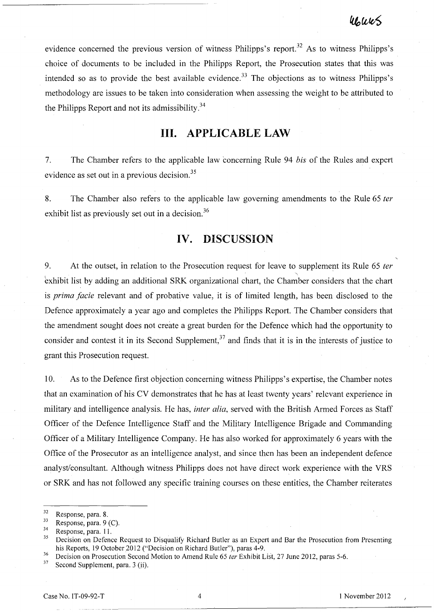evidence concerned the previous version of witness Philipps's report.<sup>32</sup> As to witness Philipps's choice of documents to be included in the Philipps Report, the Prosecution states that this was intended so as to provide the best available evidence.<sup>33</sup> The objections as to witness Philipps's methodology are issues to be taken into consideration when assessing the weight to be attributed to the Philipps Report and not its admissibility. $34$ 

## **Ill. APPLICABLE LAW**

7. The Chamber refers to the applicable law concerning Rule 94 *his* of the Rules and expert evidence as set out in a previous decision.<sup>35</sup>

8. The Chamber also refers to the applicable law governing amendments to the Rule 65 *fer*  exhibit list as previously set out in a decision.<sup>36</sup>

## **IV. DISCUSSION**

9. At the outset, in relation to the Prosecution request for leave to supplement its Rule 65 *fer* , exhibit list by adding an additional SRK organizational chart, the Chamber considers that the chart is *prima facie* relevant and of probative value, it is of limited length, has been disclosed to the Defence approximately a year ago and completes the Philipps Report. The Chamber considers that the amendment sought does not create a great burden for the Defence which had the opportunity to consider and contest it in its Second Supplement,<sup>37</sup> and finds that it is in the interests of justice to grant this Prosecution request.

10. As to the Defence first objection concerning witness Philipps's expertise, the Chamber notes that an examination of his CV demonstrates that he has at least twenty years' relevant experience in military and intelligence analysis. He has, *inter alia,* served with the British Armed Forces as Staff Officer of the Defence Intelligence Staff and the Military Intelligence Brigade and Commanding Officer of a Military Intelligence Company. He has also worked for approximately 6 years with the Office of the Prosecutor as an intelligence analyst, and since then has been an independent defence analyst/consultant. Although witness Philipps does not have direct work experience with the VRS or SRK and has not followed any specific training courses on these entities, the Chamber reiterates

 $rac{32}{33}$  Response, para. 8.

 $\frac{33}{34}$  Response, para. 9 (C).<br>Response, para. 11.

Decision on Defence Request to Disqualify Richard Butler as an Expert and Bar the Prosecution from Presenting his Reports, 19 October 2012 ("Decision on Richard Butler"), paras 4-9.

<sup>&</sup>lt;sup>36</sup> Decision on Prosecution Second Motion to Amend Rule 65 *ter* Exhibit List, 27 June 2012, paras 5-6.<br><sup>37</sup> Second Supplement, para 3 (ii)

Second Supplement, para. 3 (ii).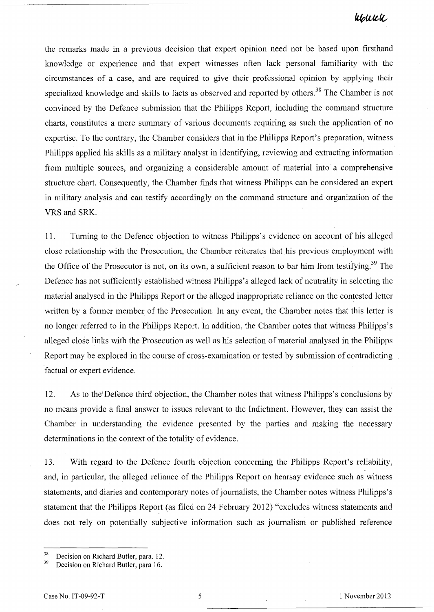the remarks made in a previous decision that expert opinion need not be based upon firsthand knowledge or experience and that expert witnesses often lack personal familiarity with the circumstances of a case, and are required to give their professional opinion by applying their specialized knowledge and skills to facts as observed and reported by others.<sup>38</sup> The Chamber is not convinced by the Defence submission that the Philipps Report, including the command structure charts, constitutes a mere summary of various documents requiring as such the application of no expertise. To the contrary, the Chamber considers that in the Philipps Report's preparation, witness Philipps applied his skills as a military analyst in identifying, reviewing and extracting information from multiple sources, and organizing a considerable amount of material into a comprehensive structure chart. Consequently, the Chamber finds that witness Philipps can be considered an expert in military analysis and can testify accordingly on the command structure and organization of the VRS and SRK.

11. Turning to the Defence objection to witness Philipps's evidence on account of his alleged close relationship with the Prosecution, the Chamber reiterates that his previous employment with the Office of the Prosecutor is not, on its own, a sufficient reason to bar him from testifying.<sup>39</sup> The Defence has not sufficiently established witness Philipps's alleged lack of neutrality in selecting the material analysed in the Philipps Report or the alleged inappropriate reliance on the contested letter written by a former member of the Prosecution. In any event, the Chamber notes that this letter is no longer referred to in the Philipps Report. In addition, the Chamber notes that witness Philipps's alleged close links with the Prosecution as well as his selection of material analysed in the Philipps Report may be explored in the course of cross-examination or tested by submission of contradicting factual or expert evidence.

12. As to the'Defence third objection, the Chamber notes that witness Philipps's conclusions by no means provide a final answer to issues relevant to the Indictment. However, they can assist the Chamber in understanding the evidence presented by the parties and making the necessary determinations in the context of the totality of evidence.

13. With regard to the Defence fourth objection concerning the Philipps Report's reliability, and, in particular, the alleged reliance of the Philipps Report on hearsay evidence such as witness statements, and diaries and contemporary notes of journalists, the Chamber notes witness Philipps' s statement that the Philipps Report (as filed on 24 February 2012) "excludes witness statements and does not rely on potentially subjective information such as journalism or published reference

 $38$  Decision on Richard Butler, para. 12.

Decision on Richard Butler, para 16.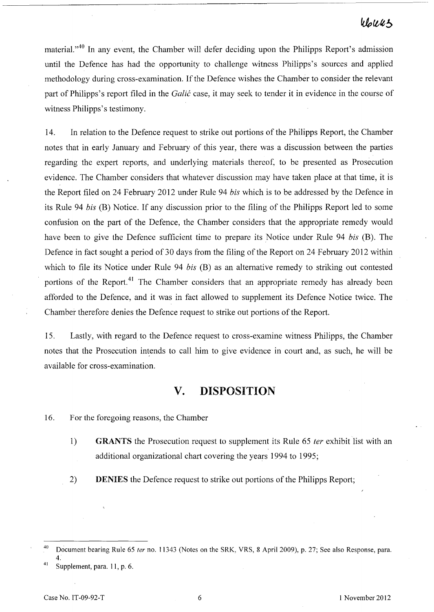# Wolles

material."<sup>40</sup> In any event, the Chamber will defer deciding upon the Philipps Report's admission until the Defence has had the opportunity to challenge witness Philipps's sources and applied methodology during cross-examination. If the Defence wishes the Chamber to consider the relevant part of Philipps's report filed in the *Galic* case, it may seek to tender it in evidence in the course of witness Philipps's testimony.

14. In relation to the Defence request to strike out portions of the Philipps Report, the Chamber notes that in early January and February of this year, there was a discussion between the parties regarding the expert reports, and underlying materials thereof, to be presented as Prosecution evidence. The Chamber considers that whatever discussion may have taken place at that time, it is the Report filed on 24 February 2012 under Rule 94 *bis* which is to be addressed by the Defence in its Rule 94 *bis* (B) Notice. If any discussion prior to the filing of the Philipps Report led to some confusion on the part of the Defence, the Chamber considers that the appropriate remedy would have been to give the Defence sufficient time to prepare its Notice under Rule 94 *bis* (B). The Defence in fact sought a period of 30 days from the filing of the Report on 24 February 2012 within which to file its Notice under Rule 94 *bis* (B) as an alternative remedy to striking out contested portions of the Report.<sup>41</sup> The Chamber considers that an appropriate remedy has already been afforded to the Defence, and it was in fact allowed to supplement its Defence Notice twice. The Chamber therefore denies the Defence request to strike out portions of the Report.

15. Lastly, with regard to the Defence request to cross-examine witness Philipps, the Chamber notes that the Prosecution intends to call him to give evidence in court and, as such, he will be available for cross-examination.

## **v. DISPOSITION**

- 16. For the foregoing reasons, the Chamber
	- 1) GRANTS the Prosecution request to supplement its Rule 65 *ter* exhibit list with an additional organizational chart covering the years 1994 to 1995;
	- 2) DENIES the Defence request to strike out portions of the Philipps Report;

 $^{40}$  Document bearing Rule 65 ter no. 11343 (Notes on the SRK, VRS, 8 April 2009), p. 27; See also Response, para. 4. 41 Supplement, para. 11, p. 6.